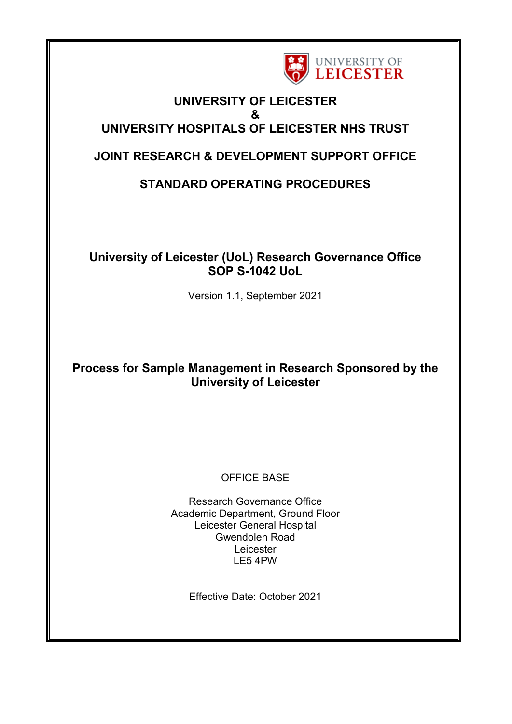

# **UNIVERSITY OF LEICESTER & UNIVERSITY HOSPITALS OF LEICESTER NHS TRUST**

# **JOINT RESEARCH & DEVELOPMENT SUPPORT OFFICE**

# **STANDARD OPERATING PROCEDURES**

# **University of Leicester (UoL) Research Governance Office SOP S-1042 UoL**

Version 1.1, September 2021

# **Process for Sample Management in Research Sponsored by the University of Leicester**

# OFFICE BASE

Research Governance Office Academic Department, Ground Floor Leicester General Hospital Gwendolen Road Leicester LE5 4PW

Effective Date: October 2021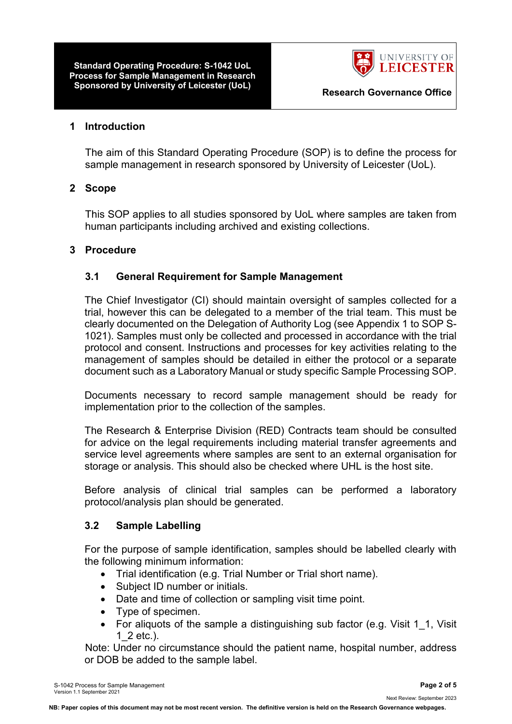**Standard Operating Procedure: S-1042 UoL Process for Sample Management in Research Sponsored by University of Leicester (UoL) Research Governance Office**



#### **1 Introduction**

The aim of this Standard Operating Procedure (SOP) is to define the process for sample management in research sponsored by University of Leicester (UoL).

#### **2 Scope**

This SOP applies to all studies sponsored by UoL where samples are taken from human participants including archived and existing collections.

#### **3 Procedure**

#### **3.1 General Requirement for Sample Management**

The Chief Investigator (CI) should maintain oversight of samples collected for a trial, however this can be delegated to a member of the trial team. This must be clearly documented on the Delegation of Authority Log (see Appendix 1 to SOP S-1021). Samples must only be collected and processed in accordance with the trial protocol and consent. Instructions and processes for key activities relating to the management of samples should be detailed in either the protocol or a separate document such as a Laboratory Manual or study specific Sample Processing SOP.

Documents necessary to record sample management should be ready for implementation prior to the collection of the samples.

The Research & Enterprise Division (RED) Contracts team should be consulted for advice on the legal requirements including material transfer agreements and service level agreements where samples are sent to an external organisation for storage or analysis. This should also be checked where UHL is the host site.

Before analysis of clinical trial samples can be performed a laboratory protocol/analysis plan should be generated.

#### **3.2 Sample Labelling**

For the purpose of sample identification, samples should be labelled clearly with the following minimum information:

- Trial identification (e.g. Trial Number or Trial short name).
- Subject ID number or initials.
- Date and time of collection or sampling visit time point.
- Type of specimen.
- For aliquots of the sample a distinguishing sub factor (e.g. Visit 1\_1, Visit 1\_2 etc.).

Note: Under no circumstance should the patient name, hospital number, address or DOB be added to the sample label.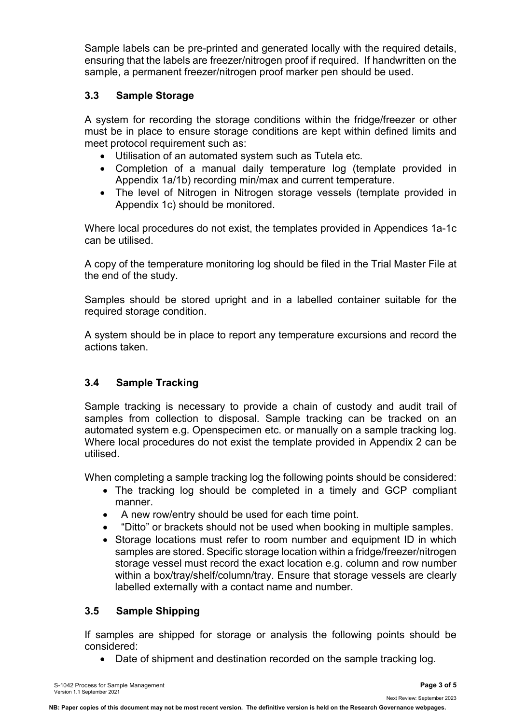Sample labels can be pre-printed and generated locally with the required details, ensuring that the labels are freezer/nitrogen proof if required. If handwritten on the sample, a permanent freezer/nitrogen proof marker pen should be used.

### **3.3 Sample Storage**

A system for recording the storage conditions within the fridge/freezer or other must be in place to ensure storage conditions are kept within defined limits and meet protocol requirement such as:

- Utilisation of an automated system such as Tutela etc.
- Completion of a manual daily temperature log (template provided in Appendix 1a/1b) recording min/max and current temperature.
- The level of Nitrogen in Nitrogen storage vessels (template provided in Appendix 1c) should be monitored.

Where local procedures do not exist, the templates provided in Appendices 1a-1c can be utilised.

A copy of the temperature monitoring log should be filed in the Trial Master File at the end of the study.

Samples should be stored upright and in a labelled container suitable for the required storage condition.

A system should be in place to report any temperature excursions and record the actions taken.

# **3.4 Sample Tracking**

Sample tracking is necessary to provide a chain of custody and audit trail of samples from collection to disposal. Sample tracking can be tracked on an automated system e.g. Openspecimen etc. or manually on a sample tracking log. Where local procedures do not exist the template provided in Appendix 2 can be utilised.

When completing a sample tracking log the following points should be considered:

- The tracking log should be completed in a timely and GCP compliant manner.
- A new row/entry should be used for each time point.
- "Ditto" or brackets should not be used when booking in multiple samples.
- Storage locations must refer to room number and equipment ID in which samples are stored. Specific storage location within a fridge/freezer/nitrogen storage vessel must record the exact location e.g. column and row number within a box/tray/shelf/column/tray. Ensure that storage vessels are clearly labelled externally with a contact name and number.

# **3.5 Sample Shipping**

If samples are shipped for storage or analysis the following points should be considered:

• Date of shipment and destination recorded on the sample tracking log.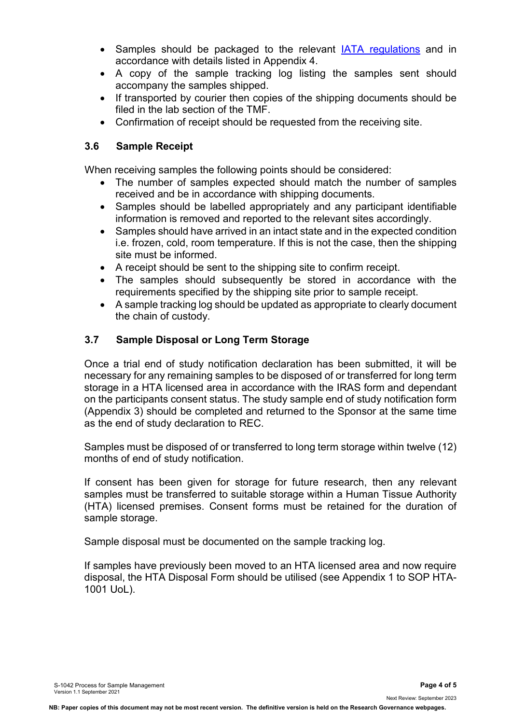- Samples should be packaged to the relevant [IATA regulations](http://www.iata.org/publications/dgr/Pages/index.aspx) and in accordance with details listed in Appendix 4.
- A copy of the sample tracking log listing the samples sent should accompany the samples shipped.
- If transported by courier then copies of the shipping documents should be filed in the lab section of the TMF.
- Confirmation of receipt should be requested from the receiving site.

### **3.6 Sample Receipt**

When receiving samples the following points should be considered:

- The number of samples expected should match the number of samples received and be in accordance with shipping documents.
- Samples should be labelled appropriately and any participant identifiable information is removed and reported to the relevant sites accordingly.
- Samples should have arrived in an intact state and in the expected condition i.e. frozen, cold, room temperature. If this is not the case, then the shipping site must be informed.
- A receipt should be sent to the shipping site to confirm receipt.
- The samples should subsequently be stored in accordance with the requirements specified by the shipping site prior to sample receipt.
- A sample tracking log should be updated as appropriate to clearly document the chain of custody.

# **3.7 Sample Disposal or Long Term Storage**

Once a trial end of study notification declaration has been submitted, it will be necessary for any remaining samples to be disposed of or transferred for long term storage in a HTA licensed area in accordance with the IRAS form and dependant on the participants consent status. The study sample end of study notification form (Appendix 3) should be completed and returned to the Sponsor at the same time as the end of study declaration to REC.

Samples must be disposed of or transferred to long term storage within twelve (12) months of end of study notification.

If consent has been given for storage for future research, then any relevant samples must be transferred to suitable storage within a Human Tissue Authority (HTA) licensed premises. Consent forms must be retained for the duration of sample storage.

Sample disposal must be documented on the sample tracking log.

If samples have previously been moved to an HTA licensed area and now require disposal, the HTA Disposal Form should be utilised (see Appendix 1 to SOP HTA-1001 UoL).